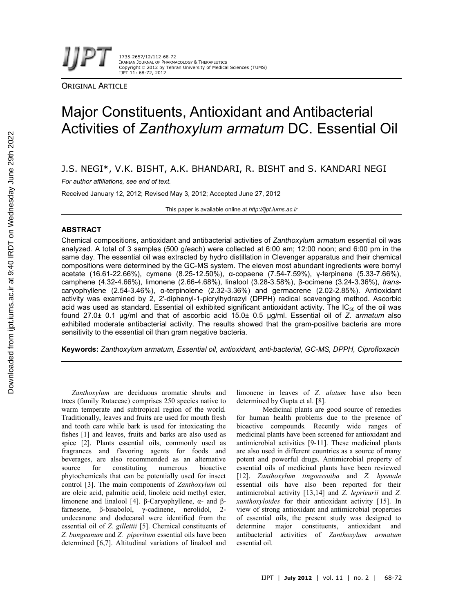1735-2657/12/112-68-72 IRANIAN JOURNAL OF PHARMACOLOGY & THERAPEUTICS Copyright © 2012 by Tehran University of Medical Sciences (TUMS) IJPT 11: 68-72, 2012

ORIGINAL ARTICLE

# Major Constituents, Antioxidant and Antibacterial Activities of *Zanthoxylum armatum* DC. Essential Oil

# J.S. NEGI\*, V.K. BISHT, A.K. BHANDARI, R. BISHT and S. KANDARI NEGI

*For author affiliations, see end of text.*

Received January 12, 2012; Revised May 3, 2012; Accepted June 27, 2012

This paper is available online at *http://ijpt.iums.ac.ir*

# **ABSTRACT**

Chemical compositions, antioxidant and antibacterial activities of *Zanthoxylum armatum* essential oil was analyzed. A total of 3 samples (500 g/each) were collected at 6:00 am; 12:00 noon; and 6:00 pm in the same day. The essential oil was extracted by hydro distillation in Clevenger apparatus and their chemical compositions were determined by the GC-MS system. The eleven most abundant ingredients were bornyl acetate (16.61-22.66%), cymene (8.25-12.50%), α-copaene (7.54-7.59%), γ-terpinene (5.33-7.66%), camphene (4.32-4.66%), limonene (2.66-4.68%), linalool (3.28-3.58%), β-ocimene (3.24-3.36%), *trans*caryophyllene (2.54-3.46%), α-terpinolene (2.32-3.36%) and germacrene (2.02-2.85%). Antioxidant activity was examined by 2, 2'-diphenyl-1-picrylhydrazyl (DPPH) radical scavenging method. Ascorbic acid was used as standard. Essential oil exhibited significant antioxidant activity. The IC $_{50}$  of the oil was found 27.0± 0.1 μg/ml and that of ascorbic acid 15.0± 0.5 μg/ml. Essential oil of *Z. armatum* also exhibited moderate antibacterial activity. The results showed that the gram-positive bacteria are more sensitivity to the essential oil than gram negative bacteria.

**Keywords:** *Zanthoxylum armatum, Essential oil, antioxidant, anti-bacterial, GC-MS, DPPH, Ciprofloxacin*

*Zanthoxylum* are deciduous aromatic shrubs and trees (family Rutaceae) comprises 250 species native to warm temperate and subtropical region of the world. Traditionally, leaves and fruit**s** are used for mouth fresh and tooth care while bark is used for intoxicating the fishes [1] and leaves, fruits and barks are also used as spice [2]. Plants essential oils, commonly used as fragrances and flavoring agents for foods and beverages, are also recommended as an alternative source for constituting numerous bioactive phytochemicals that can be potentially used for insect control [3]. The main components of *Zanthoxylum* oil are oleic acid, palmitic acid, linoleic acid methyl ester, limonene and linalool [4]. β-Caryophyllene, α- and βfarnesene, β-bisabolol, γ-cadinene, nerolidol, 2 undecanone and dodecanal were identified from the essential oil of *Z. gillettii* [5]. Chemical constituents of *Z. bungeanum* and *Z. piperitum* essential oils have been determined [6,7]. Altitudinal variations of linalool and limonene in leaves of *Z. alatum* have also been determined by Gupta et al. [8].

Medicinal plants are good source of remedies for human health problems due to the presence of bioactive compounds. Recently wide ranges of medicinal plants have been screened for antioxidant and antimicrobial activities [9-11]. These medicinal plants are also used in different countries as a source of many potent and powerful drugs. Antimicrobial property of essential oils of medicinal plants have been reviewed [12]. *Zanthoxylum tingoassuiba* and *Z. hyemale* essential oils have also been reported for their antimicrobial activity [13,14] and *Z. leprieurii* and *Z. xanthoxyloides* for their antioxidant activity [15]. In view of strong antioxidant and antimicrobial properties of essential oils, the present study was designed to determine major constituents, antioxidant and antibacterial activities of *Zanthoxylum armatum* essential oil.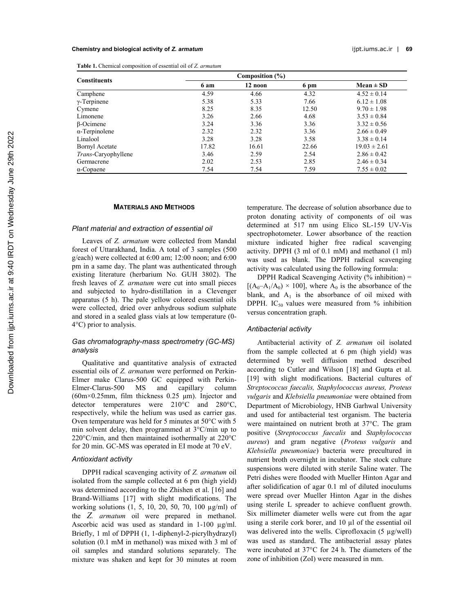#### **Chemistry and biological activity of** *Z. armatum* ijpt.iums.ac.ir | **69**

| <b>Table 1.</b> Chemical composition of essential oil of Z. armatum |  |
|---------------------------------------------------------------------|--|
|---------------------------------------------------------------------|--|

| <b>Constituents</b>        | 6 am  | 12 noon | 6 pm  | $Mean \pm SD$    |
|----------------------------|-------|---------|-------|------------------|
| Camphene                   | 4.59  | 4.66    | 4.32  | $4.52 \pm 0.14$  |
| $\gamma$ -Terpinene        | 5.38  | 5.33    | 7.66  | $6.12 \pm 1.08$  |
| Cymene                     | 8.25  | 8.35    | 12.50 | $9.70 \pm 1.98$  |
| Limonene                   | 3.26  | 2.66    | 4.68  | $3.53 \pm 0.84$  |
| $\beta$ -Ocimene           | 3.24  | 3.36    | 3.36  | $3.32 \pm 0.56$  |
| $\alpha$ -Terpinolene      | 2.32  | 2.32    | 3.36  | $2.66 \pm 0.49$  |
| Linalool                   | 3.28  | 3.28    | 3.58  | $3.38 \pm 0.14$  |
| Bornyl Acetate             | 17.82 | 16.61   | 22.66 | $19.03 \pm 2.61$ |
| <i>Trans-Caryophyllene</i> | 3.46  | 2.59    | 2.54  | $2.86 \pm 0.42$  |
| Germacrene                 | 2.02  | 2.53    | 2.85  | $2.46 \pm 0.34$  |
| $\alpha$ -Copaene          | 7.54  | 7.54    | 7.59  | $7.55 \pm 0.02$  |

#### **MATERIALS AND METHODS**

#### *Plant material and extraction of essential oil*

Leaves of *Z. armatum* were collected from Mandal forest of Uttarakhand, India. A total of 3 samples (500 g/each) were collected at 6:00 am; 12:00 noon; and 6:00 pm in a same day. The plant was authenticated through existing literature (herbarium No. GUH 3802). The fresh leaves of *Z. armatum* were cut into small pieces and subjected to hydro-distillation in a Clevenger apparatus (5 h). The pale yellow colored essential oils were collected, dried over anhydrous sodium sulphate and stored in a sealed glass vials at low temperature (0- 4°C) prior to analysis.

# *Gas chromatography-mass spectrometry (GC-MS) analysis*

Qualitative and quantitative analysis of extracted essential oils of *Z. armatum* were performed on Perkin-Elmer make Clarus-500 GC equipped with Perkin-Elmer-Clarus-500 MS and capillary column (60m×0.25mm, film thickness 0.25 μm). Injector and detector temperatures were 210°C and 280°C, respectively, while the helium was used as carrier gas. Oven temperature was held for 5 minutes at 50°C with 5 min solvent delay, then programmed at 3°C/min up to 220°C/min, and then maintained isothermally at 220°C for 20 min. GC-MS was operated in EI mode at 70 eV.

#### *Antioxidant activity*

DPPH radical scavenging activity of *Z. armatum* oil isolated from the sample collected at 6 pm (high yield) was determined according to the Zhishen et al. [16] and Brand-Williams [17] with slight modifications. The working solutions (1, 5, 10, 20, 50, 70, 100 µg/ml) of the *Z. armatum* oil were prepared in methanol. Ascorbic acid was used as standard in 1-100  $\mu$ g/ml. Briefly, 1 ml of DPPH (1, 1-diphenyl-2-picrylhydrazyl) solution (0.1 mM in methanol) was mixed with 3 ml of oil samples and standard solutions separately. The mixture was shaken and kept for 30 minutes at room temperature. The decrease of solution absorbance due to proton donating activity of components of oil was determined at 517 nm using Elico SL-159 UV-Vis spectrophotometer. Lower absorbance of the reaction mixture indicated higher free radical scavenging activity. DPPH (3 ml of 0.1 mM) and methanol (1 ml) was used as blank. The DPPH radical scavenging activity was calculated using the following formula:

DPPH Radical Scavenging Activity  $(\%$  inhibition) =  $[(A_0-A_1/A_0) \times 100]$ , where  $A_0$  is the absorbance of the blank, and  $A_1$  is the absorbance of oil mixed with DPPH. IC<sub>50</sub> values were measured from  $\%$  inhibition versus concentration graph.

## *Antibacterial activity*

Antibacterial activity of *Z. armatum* oil isolated from the sample collected at 6 pm (high yield) was determined by well diffusion method described according to Cutler and Wilson [18] and Gupta et al. [19] with slight modifications. Bacterial cultures of *Streptococcus faecalis, Staphylococcus aureus, Proteus vulgaris* and *Klebsiella pneumoniae* were obtained from Department of Microbiology, HNB Garhwal University and used for antibacterial test organism. The bacteria were maintained on nutrient broth at 37°C. The gram positive (*Streptococcus faecalis* and *Staphylococcus aureus*) and gram negative (*Proteus vulgaris* and *Klebsiella pneumoniae*) bacteria were precultured in nutrient broth overnight in incubator. The stock culture suspensions were diluted with sterile Saline water. The Petri dishes were flooded with Mueller Hinton Agar and after solidification of agar 0.1 ml of diluted inoculums were spread over Mueller Hinton Agar in the dishes using sterile L spreader to achieve confluent growth. Six millimeter diameter wells were cut from the agar using a sterile cork borer, and 10 µl of the essential oil was delivered into the wells. Ciprofloxacin (5 µg/well) was used as standard. The antibacterial assay plates were incubated at 37°C for 24 h. The diameters of the zone of inhibition (ZoI) were measured in mm.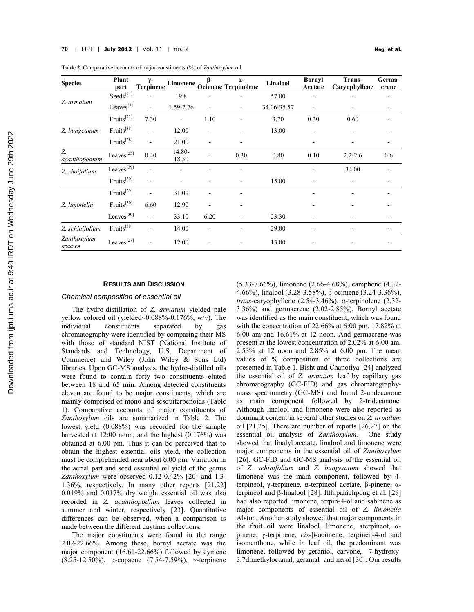| <b>Species</b>         | <b>Plant</b><br>part   | $\gamma-$<br><b>Terpinene</b> | Limonene        | ß-                       | $\alpha$ -<br><b>Ocimene Terpinolene</b> | Linalool    | <b>Bornyl</b><br>Acetate     | Trans-<br>Caryophyllene | Germa-<br>crene |
|------------------------|------------------------|-------------------------------|-----------------|--------------------------|------------------------------------------|-------------|------------------------------|-------------------------|-----------------|
| Z. armatum             | Seeds <sup>[21]</sup>  |                               | 19.8            |                          |                                          | 57.00       | ۰                            |                         |                 |
|                        | Leaves <sup>[8]</sup>  | $\blacksquare$                | 1.59-2.76       | $\overline{\phantom{0}}$ | ٠                                        | 34.06-35.57 | ۰                            |                         |                 |
| Z. bungeanum           | $Fruits^{[22]}$        | 7.30                          |                 | 1.10                     |                                          | 3.70        | 0.30                         | 0.60                    |                 |
|                        | Fruits <sup>[38]</sup> | $\overline{\phantom{a}}$      | 12.00           |                          |                                          | 13.00       | $\overline{\phantom{0}}$     |                         |                 |
|                        | Fruits <sup>[28]</sup> | $\blacksquare$                | 21.00           | $\overline{\phantom{0}}$ |                                          |             | $\qquad \qquad \blacksquare$ |                         |                 |
| Z.<br>acanthopodium    | Leaves <sup>[23]</sup> | 0.40                          | 14.80-<br>18.30 |                          | 0.30                                     | 0.80        | 0.10                         | $2.2 - 2.6$             | 0.6             |
| Z. rhoifolium          | Leaves <sup>[39]</sup> |                               |                 |                          |                                          |             | ۰                            | 34.00                   |                 |
|                        | $Fruits^{[39]}$        | $\overline{\phantom{a}}$      |                 | -                        |                                          | 15.00       | $\overline{\phantom{0}}$     |                         |                 |
|                        | Fruits <sup>[29]</sup> | $\blacksquare$                | 31.09           | $\overline{\phantom{0}}$ |                                          |             | $\qquad \qquad \blacksquare$ |                         |                 |
| Z. limonella           | Fruits <sup>[30]</sup> | 6.60                          | 12.90           |                          |                                          |             |                              |                         |                 |
|                        | Leaves <sup>[30]</sup> | $\blacksquare$                | 33.10           | 6.20                     |                                          | 23.30       | $\overline{\phantom{0}}$     |                         |                 |
| Z. schinifolium        | Fruits <sup>[38]</sup> | $\blacksquare$                | 14.00           |                          |                                          | 29.00       | $\overline{\phantom{0}}$     |                         |                 |
| Zanthoxylum<br>species | Leaves <sup>[27]</sup> | ٠                             | 12.00           |                          |                                          | 13.00       |                              |                         |                 |

**Table 2.** Comparative accounts of major constituents (%) of *Zanthoxylum* oil

#### **RESULTS AND DISCUSSION**

#### *Chemical composition of essential oil*

The hydro-distillation of *Z. armatum* yielded pale yellow colored oil (yielded~0.088%-0.176%, w/v). The individual constituents separated by gas chromatography were identified by comparing their MS with those of standard NIST (National Institute of Standards and Technology, U.S. Department of Commerce) and Wiley (John Wiley & Sons Ltd) libraries. Upon GC-MS analysis, the hydro-distilled oils were found to contain forty two constituents eluted between 18 and 65 min. Among detected constituents eleven are found to be major constituents, which are mainly comprised of mono and sesquiterpenoids (Table 1). Comparative accounts of major constituents of *Zanthoxylum* oils are summarized in Table 2. The lowest yield (0.088%) was recorded for the sample harvested at 12:00 noon, and the highest  $(0.176\%)$  was obtained at 6.00 pm. Thus it can be perceived that to obtain the highest essential oils yield, the collection must be comprehended near about 6.00 pm. Variation in the aerial part and seed essential oil yield of the genus *Zanthoxylum* were observed 0.12-0.42% [20] and 1.3- 1.36%, respectively. In many other reports [21,22] 0.019% and 0.017% dry weight essential oil was also recorded in *Z. acanthopodium* leaves collected in summer and winter, respectively [23]. Quantitative differences can be observed, when a comparison is made between the different daytime collections.

The major constituents were found in the range 2.02-22.66%. Among these, bornyl acetate was the major component (16.61-22.66%) followed by cymene (8.25-12.50%), α-copaene (7.54-7.59%), γ-terpinene (5.33-7.66%), limonene (2.66-4.68%), camphene (4.32- 4.66%), linalool (3.28-3.58%), β-ocimene (3.24-3.36%), *trans*-caryophyllene (2.54-3.46%), α-terpinolene (2.32- 3.36%) and germacrene (2.02-2.85%). Bornyl acetate was identified as the main constituent, which was found with the concentration of 22.66% at 6:00 pm, 17.82% at 6:00 am and 16.61% at 12 noon. And germacrene was present at the lowest concentration of 2.02% at 6:00 am, 2.53% at 12 noon and 2.85% at 6.00 pm. The mean values of % composition of three collections are presented in Table 1. Bisht and Chanotiya [24] analyzed the essential oil of *Z. armatum* leaf by capillary gas chromatography (GC-FID) and gas chromatographymass spectrometry (GC-MS) and found 2-undecanone as main component followed by 2-tridecanone. Although linalool and limonene were also reported as dominant content in several other studies on *Z. armatum* oil [21,25]. There are number of reports [26,27] on the essential oil analysis of *Zanthoxylum.* One study showed that linalyl acetate, linalool and limonene were major components in the essential oil of *Zanthoxylum* [26]. GC-FID and GC-MS analysis of the essential oil of *Z. schinifolium* and *Z. bungeanum* showed that limonene was the main component, followed by 4 terpineol, γ-terpinene, α-terpineol acetate, β-pinene, αterpineol and β-linalool [28]. Itthipanichpong et al. [29] had also reported limonene, terpin-4-ol and sabinene as major components of essential oil of *Z. limonella* Alston. Another study showed that major components in the fruit oil were linalool, limonene, aterpineot,  $\alpha$ pinene, γ-terpinene, *cis*-β-ocimene, terpinen-4-ol and isomenthone, while in leaf oil, the predominant was limonene, followed by geraniol, carvone, 7-hydroxy-3,7dimethyloctanal, geranial and nerol [30]. Our results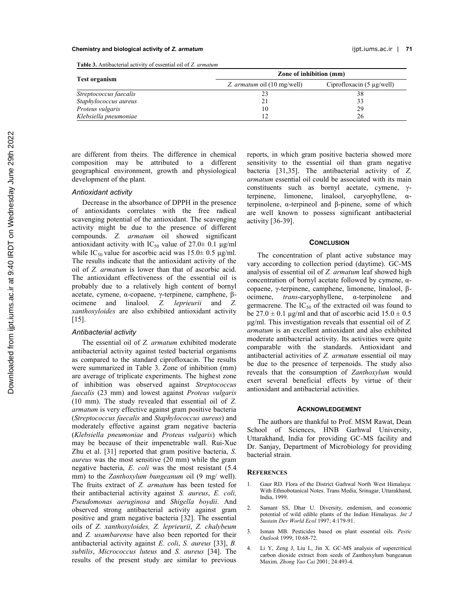#### **Chemistry and biological activity of** *Z. armatum* ijpt.iums.ac.ir | **71**

**Table 3.** Antibacterial activity of essential oil of *Z. armatum*

|                        | Zone of inhibition (mm)     |                                |  |  |
|------------------------|-----------------------------|--------------------------------|--|--|
| <b>Test organism</b>   | Z. armatum oil (10 mg/well) | Ciprofloxacin $(5 \mu g/well)$ |  |  |
| Streptococcus faecalis |                             | 38                             |  |  |
| Staphylococcus aureus  |                             | 33                             |  |  |
| Proteus vulgaris       | 10                          | 29                             |  |  |
| Klebsiella pneumoniae  |                             | 26                             |  |  |

are different from theirs. The difference in chemical composition may be attributed to a different geographical environment, growth and physiological development of the plant.

# *Antioxidant activity*

Decrease in the absorbance of DPPH in the presence of antioxidants correlates with the free radical scavenging potential of the antioxidant. The scavenging activity might be due to the presence of different compounds. *Z. armatum* oil showed significant antioxidant activity with IC<sub>50</sub> value of 27.0 $\pm$  0.1 μg/ml while IC<sub>50</sub> value for ascorbic acid was  $15.0 \pm 0.5$  μg/ml. The results indicate that the antioxidant activity of the oil of *Z. armatum* is lower than that of ascorbic acid. The antioxidant effectiveness of the essential oil is probably due to a relatively high content of bornyl acetate, cymene, α-copaene, γ-terpinene, camphene, βocimene and linalool. *Z. leprieurii* and *Z. xanthoxyloides* are also exhibited antioxidant activity  $[15]$ .

# *Antibacterial activity*

The essential oil of *Z. armatum* exhibited moderate antibacterial activity against tested bacterial organisms as compared to the standard ciprofloxacin. The results were summarized in Table 3. Zone of inhibition (mm) are average of triplicate experiments. The highest zone of inhibition was observed against *Streptococcus faecalis* (23 mm) and lowest against *Proteus vulgaris* (10 mm). The study revealed that essential oil of *Z. armatum* is very effective against gram positive bacteria (*Streptococcus faecalis* and *Staphylococcus aureus*) and moderately effective against gram negative bacteria (*Klebsiella pneumoniae* and *Proteus vulgaris*) which may be because of their impenetrable wall. Rui-Xue Zhu et al. [31] reported that gram positive bacteria, *S. aureus* was the most sensitive (20 mm) while the gram negative bacteria, *E. coli* was the most resistant (5.4 mm) to the *Zanthoxylum bungeanum* oil (9 mg/ well). The fruits extract of *Z. armatum* has been tested for their antibacterial activity against *S. aureus*, *E. coli, Pseudomonas aeruginosa* and *Shigella boydii*. And observed strong antibacterial activity against gram positive and gram negative bacteria [32]. The essential oils of *Z. xanthoxyloides, Z. leprieurii*, *Z. chalybeum* and *Z. usambarense* have also been reported for their antibacterial activity against *E. coli*, *S. aureus* [33], *B. subtilis*, *Micrococcus luteus* and *S. aureus* [34]. The results of the present study are similar to previous

reports, in which gram positive bacteria showed more sensitivity to the essential oil than gram negative bacteria [31,35]. The antibacterial activity of *Z*. *armatum* essential oil could be associated with its main constituents such as bornyl acetate, cymene, γterpinene, limonene, linalool, caryophyllene, αterpinolene, α-terpineol and β-pinene, some of which are well known to possess significant antibacterial activity [36-39].

## **CONCLUSION**

The concentration of plant active substance may vary according to collection period (daytime). GC-MS analysis of essential oil of *Z. armatum* leaf showed high concentration of bornyl acetate followed by cymene, αcopaene, γ-terpinene, camphene, limonene, linalool, βocimene, *trans*-caryophyllene, α-terpinolene and germacrene. The  $IC_{50}$  of the extracted oil was found to be  $27.0 \pm 0.1$  μg/ml and that of ascorbic acid  $15.0 \pm 0.5$ μg/ml. This investigation reveals that essential oil of *Z. armatum* is an excellent antioxidant and also exhibited moderate antibacterial activity. Its activities were quite comparable with the standards. Antioxidant and antibacterial activities of *Z. armatum* essential oil may be due to the presence of terpenoids. The study also reveals that the consumption of *Zanthoxylum* would exert several beneficial effects by virtue of their antioxidant and antibacterial activities.

#### **ACKNOWLEDGEMENT**

The authors are thankful to Prof. MSM Rawat, Dean School of Sciences, HNB Garhwal University, Uttarakhand, India for providing GC-MS facility and Dr. Sanjay, Department of Microbiology for providing bacterial strain.

#### **REFERENCES**

- 1. Gaur RD. Flora of the District Garhwal North West Himalaya: With Ethnobotanical Notes. Trans Media, Srinagar, Uttarakhand, India, 1999.
- 2. Samant SS, Dhar U. Diversity, endemism, and economic potential of wild edible plants of the Indian Himalayas. *Int J Sustain Dev World Ecol* 1997; 4:179-91.
- 3. Isman MB. Pesticides based on plant essential oils. *Pestic Outlook* 1999; 10:68-72.
- 4. Li Y, Zeng J, Liu L, Jin X. GC-MS analysis of supercritical carbon dioxide extract from seeds of Zanthoxylum bungeanun Maxim. *Zhong Yao Cai* 2001; 24:493-4.